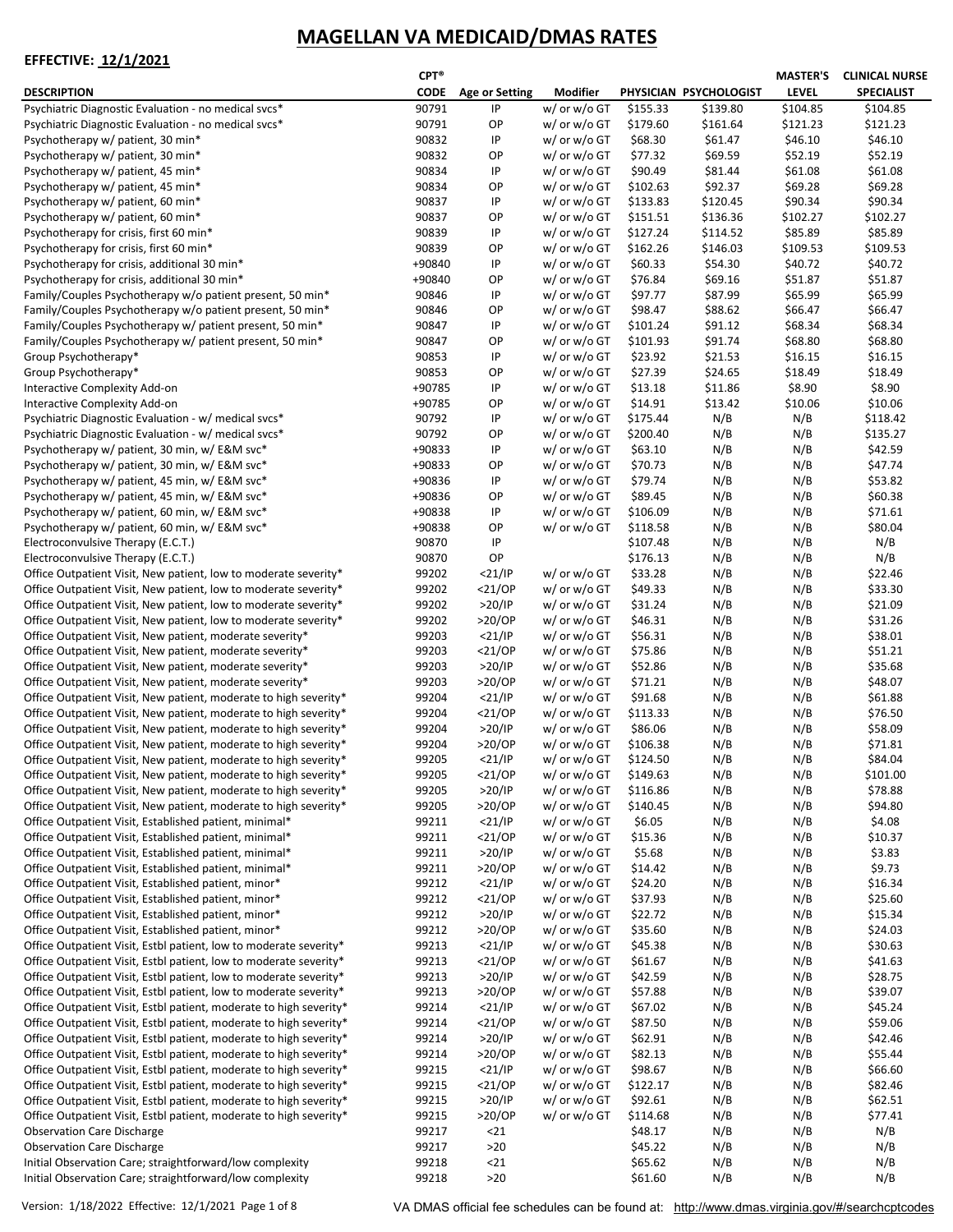|                                                                                                                                         | $CPT^*$        |                        |                                        |                      |                        | <b>MASTER'S</b>     | <b>CLINICAL NURSE</b> |
|-----------------------------------------------------------------------------------------------------------------------------------------|----------------|------------------------|----------------------------------------|----------------------|------------------------|---------------------|-----------------------|
| <b>DESCRIPTION</b>                                                                                                                      | <b>CODE</b>    | <b>Age or Setting</b>  | <b>Modifier</b>                        |                      | PHYSICIAN PSYCHOLOGIST | <b>LEVEL</b>        | <b>SPECIALIST</b>     |
| Psychiatric Diagnostic Evaluation - no medical svcs*                                                                                    | 90791          | IP                     | w/ or w/o GT                           | \$155.33             | \$139.80               | \$104.85            | \$104.85              |
| Psychiatric Diagnostic Evaluation - no medical svcs*                                                                                    | 90791          | ОP                     | w/ or w/o GT                           | \$179.60             | \$161.64               | \$121.23            | \$121.23              |
| Psychotherapy w/ patient, 30 min*                                                                                                       | 90832          | IP                     | $w/$ or $w/$ o GT                      | \$68.30              | \$61.47                | \$46.10             | \$46.10               |
| Psychotherapy w/ patient, 30 min*                                                                                                       | 90832          | ОP                     | $w/$ or $w/$ o GT                      | \$77.32              | \$69.59                | \$52.19             | \$52.19               |
| Psychotherapy w/ patient, 45 min*                                                                                                       | 90834          | IP                     | w/ or w/o GT                           | \$90.49              | \$81.44                | \$61.08             | \$61.08               |
| Psychotherapy w/ patient, 45 min*                                                                                                       | 90834          | ОP                     | $w/$ or $w/$ o GT                      | \$102.63             | \$92.37                | \$69.28             | \$69.28               |
| Psychotherapy w/ patient, 60 min*                                                                                                       | 90837          | IP                     | $w/$ or $w/$ o GT                      | \$133.83             | \$120.45               | \$90.34             | \$90.34               |
| Psychotherapy w/ patient, 60 min*                                                                                                       | 90837<br>90839 | ОP<br>IP               | $w/$ or $w/$ o GT                      | \$151.51<br>\$127.24 | \$136.36<br>\$114.52   | \$102.27<br>\$85.89 | \$102.27<br>\$85.89   |
| Psychotherapy for crisis, first 60 min*<br>Psychotherapy for crisis, first 60 min*                                                      | 90839          | ОP                     | w/ or w/o GT<br>w/ or w/o GT           | \$162.26             | \$146.03               | \$109.53            | \$109.53              |
| Psychotherapy for crisis, additional 30 min*                                                                                            | +90840         | IP                     | $w/$ or $w/$ o GT                      | \$60.33              | \$54.30                | \$40.72             | \$40.72               |
| Psychotherapy for crisis, additional 30 min*                                                                                            | +90840         | ОP                     | w/ or w/o GT                           | \$76.84              | \$69.16                | \$51.87             | \$51.87               |
| Family/Couples Psychotherapy w/o patient present, 50 min*                                                                               | 90846          | IP                     | $w/$ or $w/$ o GT                      | \$97.77              | \$87.99                | \$65.99             | \$65.99               |
| Family/Couples Psychotherapy w/o patient present, 50 min*                                                                               | 90846          | ОP                     | w/ or w/o GT                           | \$98.47              | \$88.62                | \$66.47             | \$66.47               |
| Family/Couples Psychotherapy w/ patient present, 50 min*                                                                                | 90847          | IP                     | $w/$ or $w/$ o GT                      | \$101.24             | \$91.12                | \$68.34             | \$68.34               |
| Family/Couples Psychotherapy w/ patient present, 50 min*                                                                                | 90847          | ОP                     | $w/$ or $w/$ o GT                      | \$101.93             | \$91.74                | \$68.80             | \$68.80               |
| Group Psychotherapy*                                                                                                                    | 90853          | IP                     | $w/$ or $w/$ o GT                      | \$23.92              | \$21.53                | \$16.15             | \$16.15               |
| Group Psychotherapy*                                                                                                                    | 90853          | ОP                     | w/ or w/o GT                           | \$27.39              | \$24.65                | \$18.49             | \$18.49               |
| Interactive Complexity Add-on                                                                                                           | +90785         | IP                     | $w/$ or $w/$ o GT                      | \$13.18              | \$11.86                | \$8.90              | \$8.90                |
| Interactive Complexity Add-on                                                                                                           | +90785         | ОP                     | $w/$ or $w/$ o GT                      | \$14.91              | \$13.42                | \$10.06             | \$10.06               |
| Psychiatric Diagnostic Evaluation - w/ medical svcs*                                                                                    | 90792          | IP                     | w/ or w/o GT                           | \$175.44             | N/B                    | N/B                 | \$118.42              |
| Psychiatric Diagnostic Evaluation - w/ medical svcs*                                                                                    | 90792          | ОP                     | $w/$ or $w/$ o GT                      | \$200.40             | N/B                    | N/B                 | \$135.27              |
| Psychotherapy w/ patient, 30 min, w/ E&M svc*                                                                                           | +90833         | IP                     | $w/$ or $w/$ o GT                      | \$63.10              | N/B                    | N/B                 | \$42.59               |
| Psychotherapy w/ patient, 30 min, w/ E&M svc*                                                                                           | +90833         | ОP                     | $w/$ or $w/$ o GT                      | \$70.73              | N/B                    | N/B                 | \$47.74               |
| Psychotherapy w/ patient, 45 min, w/ E&M svc*                                                                                           | +90836         | IP                     | $w/$ or $w/$ o GT                      | \$79.74              | N/B                    | N/B                 | \$53.82               |
| Psychotherapy w/ patient, 45 min, w/ E&M svc*                                                                                           | +90836         | ОP                     | $w/$ or $w/$ o GT                      | \$89.45              | N/B                    | N/B                 | \$60.38               |
| Psychotherapy w/ patient, 60 min, w/ E&M svc*                                                                                           | +90838         | IP                     | $w/$ or $w/$ o GT                      | \$106.09             | N/B                    | N/B                 | \$71.61               |
| Psychotherapy w/ patient, 60 min, w/ E&M svc*                                                                                           | +90838         | ОP                     | $w/$ or $w/$ o GT                      | \$118.58             | N/B                    | N/B                 | \$80.04               |
| Electroconvulsive Therapy (E.C.T.)                                                                                                      | 90870          | IP                     |                                        | \$107.48             | N/B                    | N/B                 | N/B                   |
| Electroconvulsive Therapy (E.C.T.)                                                                                                      | 90870          | OP                     |                                        | \$176.13<br>\$33.28  | N/B                    | N/B                 | N/B                   |
| Office Outpatient Visit, New patient, low to moderate severity*<br>Office Outpatient Visit, New patient, low to moderate severity*      | 99202<br>99202 | $<$ 21/IP<br>$<$ 21/0P | $w/$ or $w/$ o GT<br>$w/$ or $w/$ o GT | \$49.33              | N/B<br>N/B             | N/B                 | \$22.46<br>\$33.30    |
| Office Outpatient Visit, New patient, low to moderate severity*                                                                         | 99202          | >20/IP                 | $w/$ or $w/$ o GT                      | \$31.24              | N/B                    | N/B<br>N/B          | \$21.09               |
| Office Outpatient Visit, New patient, low to moderate severity*                                                                         | 99202          | $>20$ /OP              | w/ or w/o GT                           | \$46.31              | N/B                    | N/B                 | \$31.26               |
| Office Outpatient Visit, New patient, moderate severity*                                                                                | 99203          | $<$ 21/IP              | $w/$ or $w/$ o GT                      | \$56.31              | N/B                    | N/B                 | \$38.01               |
| Office Outpatient Visit, New patient, moderate severity*                                                                                | 99203          | $<$ 21/0P              | $w/$ or $w/$ o GT                      | \$75.86              | N/B                    | N/B                 | \$51.21               |
| Office Outpatient Visit, New patient, moderate severity*                                                                                | 99203          | >20/IP                 | $w/$ or $w/$ o GT                      | \$52.86              | N/B                    | N/B                 | \$35.68               |
| Office Outpatient Visit, New patient, moderate severity*                                                                                | 99203          | $>20$ /OP              | $w/$ or $w/$ o GT                      | \$71.21              | N/B                    | N/B                 | \$48.07               |
| Office Outpatient Visit, New patient, moderate to high severity*                                                                        | 99204          | $<$ 21/IP              | $w/$ or $w/$ o GT                      | \$91.68              | N/B                    | N/B                 | \$61.88               |
| Office Outpatient Visit, New patient, moderate to high severity*                                                                        | 99204          | $<$ 21/0P              | w/ or w/o GT                           | \$113.33             | N/B                    | N/B                 | \$76.50               |
| Office Outpatient Visit, New patient, moderate to high severity*                                                                        | 99204          | >20/IP                 | $w/$ or $w/$ o GT                      | \$86.06              | N/B                    | N/B                 | \$58.09               |
| Office Outpatient Visit, New patient, moderate to high severity*                                                                        | 99204          | $>20$ /OP              | w/ or w/o GT                           | \$106.38             | N/B                    | N/B                 | \$71.81               |
| Office Outpatient Visit, New patient, moderate to high severity*                                                                        | 99205          | $<$ 21/IP              | w/ or w/o GT                           | \$124.50             | N/B                    | N/B                 | \$84.04               |
| Office Outpatient Visit, New patient, moderate to high severity*                                                                        | 99205          | $<$ 21/0P              | $w/$ or $w/$ o GT                      | \$149.63             | N/B                    | N/B                 | \$101.00              |
| Office Outpatient Visit, New patient, moderate to high severity*                                                                        | 99205          | >20/IP                 | $w/$ or $w/$ o GT                      | \$116.86             | N/B                    | N/B                 | \$78.88               |
| Office Outpatient Visit, New patient, moderate to high severity*                                                                        | 99205          | $>20$ /OP              | $w/$ or $w/$ o GT                      | \$140.45             | N/B                    | N/B                 | \$94.80               |
| Office Outpatient Visit, Established patient, minimal*                                                                                  | 99211          | $<$ 21/IP              | $w/$ or $w/$ o GT                      | \$6.05               | N/B                    | N/B                 | \$4.08                |
| Office Outpatient Visit, Established patient, minimal*                                                                                  | 99211          | $<$ 21/0P              | $w/$ or $w/$ o GT                      | \$15.36              | N/B                    | N/B                 | \$10.37               |
| Office Outpatient Visit, Established patient, minimal*                                                                                  | 99211          | >20/IP                 | $w/$ or $w/$ o GT                      | \$5.68               | N/B                    | N/B                 | \$3.83                |
| Office Outpatient Visit, Established patient, minimal*                                                                                  | 99211          | $>20$ /OP              | w/ or w/o GT                           | \$14.42              | N/B                    | N/B                 | \$9.73                |
| Office Outpatient Visit, Established patient, minor*                                                                                    | 99212          | $<$ 21/IP              | w/ or w/o GT                           | \$24.20              | N/B                    | N/B                 | \$16.34               |
| Office Outpatient Visit, Established patient, minor*                                                                                    | 99212          | $<$ 21/0P              | $w/$ or $w/$ o GT                      | \$37.93              | N/B                    | N/B                 | \$25.60               |
| Office Outpatient Visit, Established patient, minor*                                                                                    | 99212          | >20/IP                 | $w/$ or $w/$ o GT                      | \$22.72              | N/B                    | N/B                 | \$15.34               |
| Office Outpatient Visit, Established patient, minor*                                                                                    | 99212          | $>20$ /OP              | w/ or w/o GT                           | \$35.60              | N/B                    | N/B                 | \$24.03               |
| Office Outpatient Visit, Estbl patient, low to moderate severity*                                                                       | 99213          | $<$ 21/IP              | w/ or w/o GT                           | \$45.38              | N/B                    | N/B                 | \$30.63               |
| Office Outpatient Visit, Estbl patient, low to moderate severity*                                                                       | 99213          | $<$ 21/OP              | $w/$ or $w/$ o GT                      | \$61.67              | N/B                    | N/B                 | \$41.63               |
| Office Outpatient Visit, Estbl patient, low to moderate severity*                                                                       | 99213          | >20/IP                 | $w/$ or $w/$ o GT<br>$w/$ or $w/$ o GT | \$42.59<br>\$57.88   | N/B<br>N/B             | N/B<br>N/B          | \$28.75<br>\$39.07    |
| Office Outpatient Visit, Estbl patient, low to moderate severity*<br>Office Outpatient Visit, Estbl patient, moderate to high severity* | 99213<br>99214 | >20/OP<br>$<$ 21/IP    | w/ or w/o GT                           | \$67.02              | N/B                    | N/B                 | \$45.24               |
| Office Outpatient Visit, Estbl patient, moderate to high severity*                                                                      | 99214          | $<$ 21/0P              | $w/$ or $w/$ o GT                      | \$87.50              | N/B                    | N/B                 | \$59.06               |
| Office Outpatient Visit, Estbl patient, moderate to high severity*                                                                      | 99214          | >20/IP                 | $w/$ or $w/$ o GT                      | \$62.91              | N/B                    | N/B                 | \$42.46               |
| Office Outpatient Visit, Estbl patient, moderate to high severity*                                                                      | 99214          | $>20$ /OP              | w/ or w/o GT                           | \$82.13              | N/B                    | N/B                 | \$55.44               |
| Office Outpatient Visit, Estbl patient, moderate to high severity*                                                                      | 99215          | $<$ 21/IP              | $w/$ or $w/$ o GT                      | \$98.67              | N/B                    | N/B                 | \$66.60               |
| Office Outpatient Visit, Estbl patient, moderate to high severity*                                                                      | 99215          | $<$ 21/OP              | $w/$ or $w/$ o GT                      | \$122.17             | N/B                    | N/B                 | \$82.46               |
| Office Outpatient Visit, Estbl patient, moderate to high severity*                                                                      | 99215          | >20/IP                 | $w/$ or $w/$ o GT                      | \$92.61              | N/B                    | N/B                 | \$62.51               |
| Office Outpatient Visit, Estbl patient, moderate to high severity*                                                                      | 99215          | $>20$ /OP              | $w/$ or $w/$ o GT                      | \$114.68             | N/B                    | N/B                 | \$77.41               |
| <b>Observation Care Discharge</b>                                                                                                       | 99217          | $21$                   |                                        | \$48.17              | N/B                    | N/B                 | N/B                   |
| <b>Observation Care Discharge</b>                                                                                                       | 99217          | >20                    |                                        | \$45.22              | N/B                    | N/B                 | N/B                   |
| Initial Observation Care; straightforward/low complexity                                                                                | 99218          | $21$                   |                                        | \$65.62              | N/B                    | N/B                 | N/B                   |
| Initial Observation Care; straightforward/low complexity                                                                                | 99218          | >20                    |                                        | \$61.60              | N/B                    | N/B                 | N/B                   |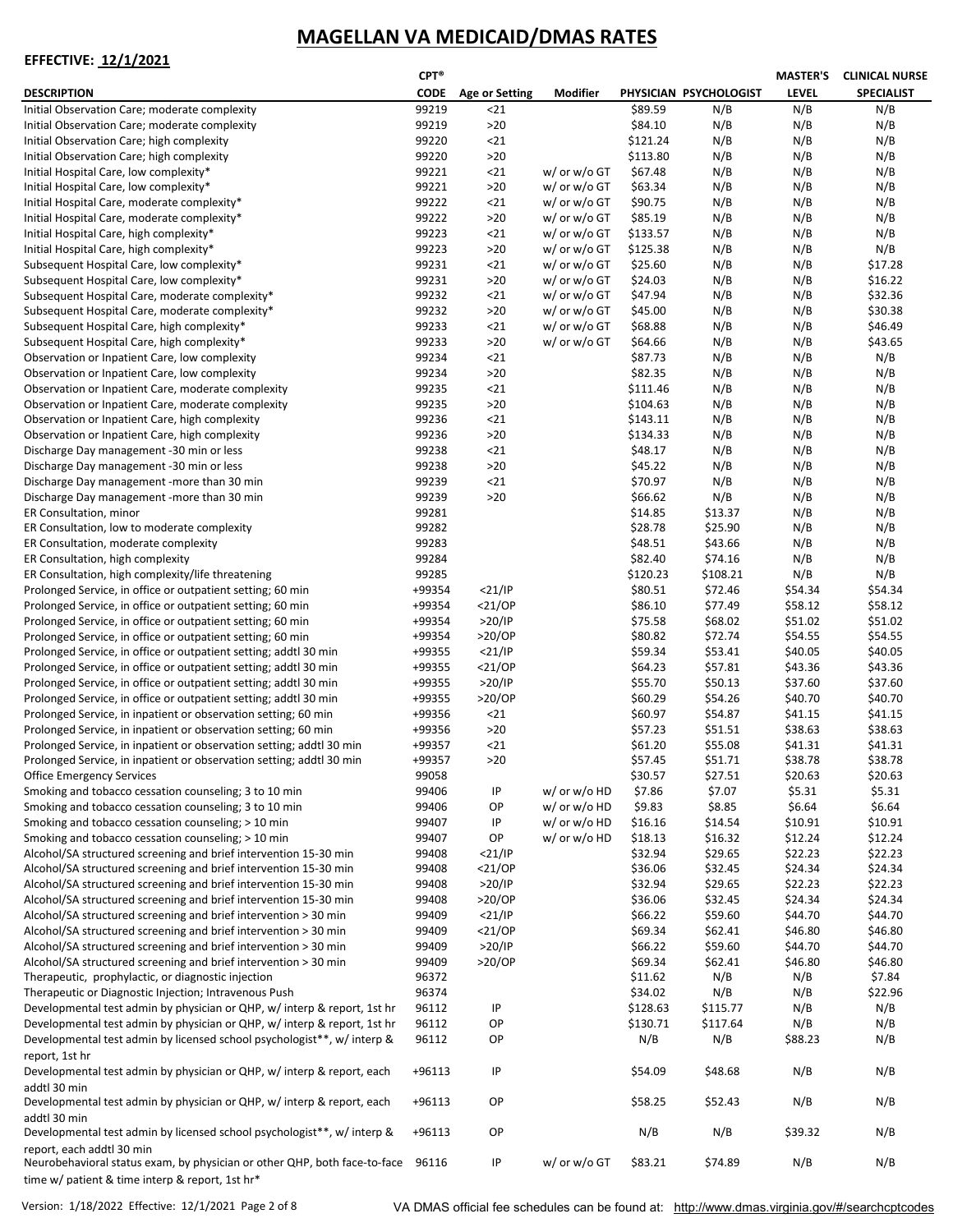|                                                                                 | CPT®        |                       |                   |          |                        | <b>MASTER'S</b> | <b>CLINICAL NURSE</b> |
|---------------------------------------------------------------------------------|-------------|-----------------------|-------------------|----------|------------------------|-----------------|-----------------------|
| <b>DESCRIPTION</b>                                                              | <b>CODE</b> | <b>Age or Setting</b> | Modifier          |          | PHYSICIAN PSYCHOLOGIST | <b>LEVEL</b>    | <b>SPECIALIST</b>     |
| Initial Observation Care; moderate complexity                                   | 99219       | $21$                  |                   | \$89.59  | N/B                    | N/B             | N/B                   |
| Initial Observation Care; moderate complexity                                   | 99219       | $>20$                 |                   | \$84.10  | N/B                    | N/B             | N/B                   |
| Initial Observation Care; high complexity                                       | 99220       | $21$                  |                   | \$121.24 | N/B                    | N/B             | N/B                   |
| Initial Observation Care; high complexity                                       |             | $>20$                 |                   | \$113.80 | N/B                    | N/B             | N/B                   |
|                                                                                 | 99220       |                       |                   |          |                        |                 |                       |
| Initial Hospital Care, low complexity*                                          | 99221       | $21$                  | w/ or w/o GT      | \$67.48  | N/B                    | N/B             | N/B                   |
| Initial Hospital Care, low complexity*                                          | 99221       | $>20$                 | $w/$ or $w/$ o GT | \$63.34  | N/B                    | N/B             | N/B                   |
| Initial Hospital Care, moderate complexity*                                     | 99222       | $21$                  | $w/$ or $w/$ o GT | \$90.75  | N/B                    | N/B             | N/B                   |
| Initial Hospital Care, moderate complexity*                                     | 99222       | $>20$                 | w/ or w/o GT      | \$85.19  | N/B                    | N/B             | N/B                   |
| Initial Hospital Care, high complexity*                                         | 99223       | $21$                  | w/ or w/o GT      | \$133.57 | N/B                    | N/B             | N/B                   |
| Initial Hospital Care, high complexity*                                         | 99223       | $>20$                 | w/ or w/o GT      | \$125.38 | N/B                    | N/B             | N/B                   |
| Subsequent Hospital Care, low complexity*                                       | 99231       | $21$                  | w/ or w/o GT      | \$25.60  | N/B                    | N/B             | \$17.28               |
| Subsequent Hospital Care, low complexity*                                       | 99231       | $>20$                 | w/ or w/o GT      | \$24.03  | N/B                    | N/B             | \$16.22               |
| Subsequent Hospital Care, moderate complexity*                                  | 99232       | $21$                  | w/ or w/o GT      | \$47.94  | N/B                    | N/B             | \$32.36               |
| Subsequent Hospital Care, moderate complexity*                                  | 99232       | $>20$                 | w/ or w/o GT      | \$45.00  | N/B                    | N/B             | \$30.38               |
|                                                                                 |             |                       |                   |          |                        |                 |                       |
| Subsequent Hospital Care, high complexity*                                      | 99233       | $21$                  | $w/$ or $w/$ o GT | \$68.88  | N/B                    | N/B             | \$46.49               |
| Subsequent Hospital Care, high complexity*                                      | 99233       | $>20$                 | w/ or w/o GT      | \$64.66  | N/B                    | N/B             | \$43.65               |
| Observation or Inpatient Care, low complexity                                   | 99234       | $21$                  |                   | \$87.73  | N/B                    | N/B             | N/B                   |
| Observation or Inpatient Care, low complexity                                   | 99234       | $>20$                 |                   | \$82.35  | N/B                    | N/B             | N/B                   |
| Observation or Inpatient Care, moderate complexity                              | 99235       | $21$                  |                   | \$111.46 | N/B                    | N/B             | N/B                   |
| Observation or Inpatient Care, moderate complexity                              | 99235       | $>20$                 |                   | \$104.63 | N/B                    | N/B             | N/B                   |
| Observation or Inpatient Care, high complexity                                  | 99236       | $21$                  |                   | \$143.11 | N/B                    | N/B             | N/B                   |
| Observation or Inpatient Care, high complexity                                  | 99236       | $>20$                 |                   | \$134.33 | N/B                    | N/B             | N/B                   |
|                                                                                 |             |                       |                   |          |                        |                 |                       |
| Discharge Day management -30 min or less                                        | 99238       | $21$                  |                   | \$48.17  | N/B                    | N/B             | N/B                   |
| Discharge Day management -30 min or less                                        | 99238       | $>20$                 |                   | \$45.22  | N/B                    | N/B             | N/B                   |
| Discharge Day management - more than 30 min                                     | 99239       | $21$                  |                   | \$70.97  | N/B                    | N/B             | N/B                   |
| Discharge Day management - more than 30 min                                     | 99239       | $>20$                 |                   | \$66.62  | N/B                    | N/B             | N/B                   |
| ER Consultation, minor                                                          | 99281       |                       |                   | \$14.85  | \$13.37                | N/B             | N/B                   |
| ER Consultation, low to moderate complexity                                     | 99282       |                       |                   | \$28.78  | \$25.90                | N/B             | N/B                   |
| ER Consultation, moderate complexity                                            | 99283       |                       |                   | \$48.51  | \$43.66                | N/B             | N/B                   |
| ER Consultation, high complexity                                                | 99284       |                       |                   | \$82.40  | \$74.16                | N/B             | N/B                   |
| ER Consultation, high complexity/life threatening                               | 99285       |                       |                   | \$120.23 | \$108.21               | N/B             | N/B                   |
|                                                                                 |             |                       |                   |          |                        |                 |                       |
| Prolonged Service, in office or outpatient setting; 60 min                      | +99354      | $<$ 21/IP             |                   | \$80.51  | \$72.46                | \$54.34         | \$54.34               |
| Prolonged Service, in office or outpatient setting; 60 min                      | +99354      | $<$ 21/OP             |                   | \$86.10  | \$77.49                | \$58.12         | \$58.12               |
| Prolonged Service, in office or outpatient setting; 60 min                      | +99354      | >20/IP                |                   | \$75.58  | \$68.02                | \$51.02         | \$51.02               |
| Prolonged Service, in office or outpatient setting; 60 min                      | +99354      | $>20$ /OP             |                   | \$80.82  | \$72.74                | \$54.55         | \$54.55               |
| Prolonged Service, in office or outpatient setting; addtl 30 min                | +99355      | $<$ 21/IP             |                   | \$59.34  | \$53.41                | \$40.05         | \$40.05               |
| Prolonged Service, in office or outpatient setting; addtl 30 min                | +99355      | $<$ 21/0P             |                   | \$64.23  | \$57.81                | \$43.36         | \$43.36               |
| Prolonged Service, in office or outpatient setting; addtl 30 min                | +99355      | >20/IP                |                   | \$55.70  | \$50.13                | \$37.60         | \$37.60               |
| Prolonged Service, in office or outpatient setting; addtl 30 min                | +99355      | $>20$ /OP             |                   | \$60.29  | \$54.26                | \$40.70         | \$40.70               |
| Prolonged Service, in inpatient or observation setting; 60 min                  | +99356      | $21$                  |                   | \$60.97  | \$54.87                | \$41.15         | \$41.15               |
|                                                                                 | +99356      |                       |                   |          |                        |                 |                       |
| Prolonged Service, in inpatient or observation setting; 60 min                  |             | $>20$                 |                   | \$57.23  | \$51.51                | \$38.63         | \$38.63               |
| Prolonged Service, in inpatient or observation setting; addtl 30 min            | +99357      | $21$                  |                   | \$61.20  | \$55.08                | \$41.31         | \$41.31               |
| Prolonged Service, in inpatient or observation setting; addtl 30 min            | +99357      | $>20$                 |                   | \$57.45  | \$51.71                | \$38.78         | \$38.78               |
| <b>Office Emergency Services</b>                                                | 99058       |                       |                   | \$30.57  | \$27.51                | \$20.63         | \$20.63               |
| Smoking and tobacco cessation counseling; 3 to 10 min                           | 99406       | IP                    | w/ or w/o HD      | \$7.86   | \$7.07                 | \$5.31          | \$5.31                |
| Smoking and tobacco cessation counseling; 3 to 10 min                           | 99406       | OP                    | w/ or w/o HD      | \$9.83   | \$8.85                 | \$6.64          | \$6.64                |
| Smoking and tobacco cessation counseling; > 10 min                              | 99407       | IP                    | w/ or w/o HD      | \$16.16  | \$14.54                | \$10.91         | \$10.91               |
| Smoking and tobacco cessation counseling; > 10 min                              | 99407       | OP                    | w/ or w/o HD      | \$18.13  | \$16.32                | \$12.24         | \$12.24               |
| Alcohol/SA structured screening and brief intervention 15-30 min                | 99408       | $<$ 21/IP             |                   | \$32.94  | \$29.65                | \$22.23         | \$22.23               |
| Alcohol/SA structured screening and brief intervention 15-30 min                | 99408       | $<$ 21/0P             |                   | \$36.06  | \$32.45                | \$24.34         | \$24.34               |
| Alcohol/SA structured screening and brief intervention 15-30 min                | 99408       | >20/IP                |                   | \$32.94  | \$29.65                | \$22.23         | \$22.23               |
|                                                                                 |             |                       |                   |          |                        |                 | \$24.34               |
| Alcohol/SA structured screening and brief intervention 15-30 min                | 99408       | $>20$ /OP             |                   | \$36.06  | \$32.45                | \$24.34         |                       |
| Alcohol/SA structured screening and brief intervention > 30 min                 | 99409       | $<$ 21/IP             |                   | \$66.22  | \$59.60                | \$44.70         | \$44.70               |
| Alcohol/SA structured screening and brief intervention > 30 min                 | 99409       | $<$ 21/0P             |                   | \$69.34  | \$62.41                | \$46.80         | \$46.80               |
| Alcohol/SA structured screening and brief intervention > 30 min                 | 99409       | >20/IP                |                   | \$66.22  | \$59.60                | \$44.70         | \$44.70               |
| Alcohol/SA structured screening and brief intervention > 30 min                 | 99409       | $>20$ /OP             |                   | \$69.34  | \$62.41                | \$46.80         | \$46.80               |
| Therapeutic, prophylactic, or diagnostic injection                              | 96372       |                       |                   | \$11.62  | N/B                    | N/B             | \$7.84                |
| Therapeutic or Diagnostic Injection; Intravenous Push                           | 96374       |                       |                   | \$34.02  | N/B                    | N/B             | \$22.96               |
| Developmental test admin by physician or QHP, w/ interp & report, 1st hr        | 96112       | IP                    |                   | \$128.63 | \$115.77               | N/B             | N/B                   |
| Developmental test admin by physician or QHP, w/ interp & report, 1st hr        | 96112       | OP                    |                   | \$130.71 | \$117.64               | N/B             | N/B                   |
|                                                                                 |             |                       |                   |          |                        |                 |                       |
| Developmental test admin by licensed school psychologist**, w/ interp &         | 96112       | OP                    |                   | N/B      | N/B                    | \$88.23         | N/B                   |
| report, 1st hr                                                                  |             |                       |                   |          |                        |                 |                       |
| Developmental test admin by physician or QHP, w/ interp & report, each          | +96113      | IP                    |                   | \$54.09  | \$48.68                | N/B             | N/B                   |
| addtl 30 min                                                                    |             |                       |                   |          |                        |                 |                       |
| Developmental test admin by physician or QHP, w/ interp & report, each          | +96113      | OP                    |                   | \$58.25  | \$52.43                | N/B             | N/B                   |
| addtl 30 min                                                                    |             |                       |                   |          |                        |                 |                       |
| Developmental test admin by licensed school psychologist**, w/ interp &         | +96113      | OP                    |                   | N/B      | N/B                    | \$39.32         | N/B                   |
| report, each addtl 30 min                                                       |             |                       |                   |          |                        |                 |                       |
| Neurobehavioral status exam, by physician or other QHP, both face-to-face 96116 |             | ΙP                    | w/ or w/o GT      | \$83.21  | \$74.89                | N/B             | N/B                   |
|                                                                                 |             |                       |                   |          |                        |                 |                       |
| time w/ patient & time interp & report, 1st hr*                                 |             |                       |                   |          |                        |                 |                       |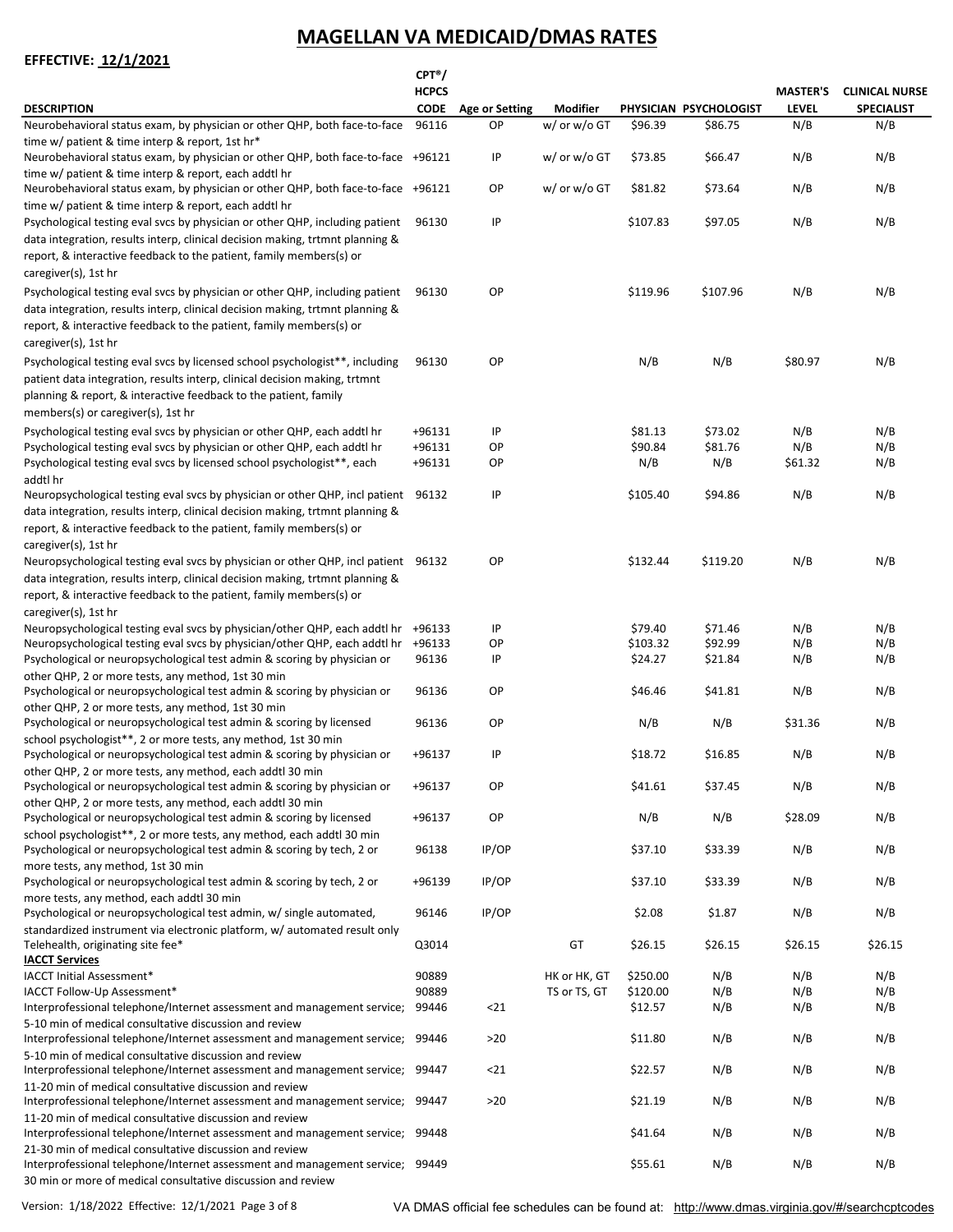|                                                                                                                                                                                                                                                                      | $CPT^{\circ}$  |                       |                              |                     |                        |                 |                       |
|----------------------------------------------------------------------------------------------------------------------------------------------------------------------------------------------------------------------------------------------------------------------|----------------|-----------------------|------------------------------|---------------------|------------------------|-----------------|-----------------------|
|                                                                                                                                                                                                                                                                      | <b>HCPCS</b>   |                       |                              |                     |                        | <b>MASTER'S</b> | <b>CLINICAL NURSE</b> |
| <b>DESCRIPTION</b>                                                                                                                                                                                                                                                   | <b>CODE</b>    | <b>Age or Setting</b> | <b>Modifier</b>              |                     | PHYSICIAN PSYCHOLOGIST | <b>LEVEL</b>    | <b>SPECIALIST</b>     |
| Neurobehavioral status exam, by physician or other QHP, both face-to-face<br>time w/ patient & time interp & report, 1st hr*<br>Neurobehavioral status exam, by physician or other QHP, both face-to-face +96121                                                     | 96116          | OP.<br>IP             | w/ or w/o GT<br>w/ or w/o GT | \$96.39<br>\$73.85  | \$86.75<br>\$66.47     | N/B<br>N/B      | N/B<br>N/B            |
| time w/ patient & time interp & report, each addtl hr                                                                                                                                                                                                                |                |                       |                              |                     |                        |                 |                       |
| Neurobehavioral status exam, by physician or other QHP, both face-to-face +96121<br>time w/ patient & time interp & report, each addtl hr                                                                                                                            |                | OP                    | w/ or w/o GT                 | \$81.82             | \$73.64                | N/B             | N/B                   |
| Psychological testing eval svcs by physician or other QHP, including patient<br>data integration, results interp, clinical decision making, trtmnt planning &<br>report, & interactive feedback to the patient, family members(s) or<br>caregiver(s), 1st hr         | 96130          | IP                    |                              | \$107.83            | \$97.05                | N/B             | N/B                   |
| Psychological testing eval svcs by physician or other QHP, including patient<br>data integration, results interp, clinical decision making, trtmnt planning &<br>report, & interactive feedback to the patient, family members(s) or<br>caregiver(s), 1st hr         | 96130          | OP                    |                              | \$119.96            | \$107.96               | N/B             | N/B                   |
| Psychological testing eval svcs by licensed school psychologist**, including<br>patient data integration, results interp, clinical decision making, trtmnt<br>planning & report, & interactive feedback to the patient, family<br>members(s) or caregiver(s), 1st hr | 96130          | OP                    |                              | N/B                 | N/B                    | \$80.97         | N/B                   |
| Psychological testing eval svcs by physician or other QHP, each addtl hr                                                                                                                                                                                             | +96131         | IP                    |                              | \$81.13             | \$73.02                | N/B             | N/B                   |
| Psychological testing eval svcs by physician or other QHP, each addtl hr                                                                                                                                                                                             | +96131         | OP                    |                              | \$90.84             | \$81.76                | N/B             | N/B                   |
| Psychological testing eval svcs by licensed school psychologist <sup>**</sup> , each<br>addtl hr                                                                                                                                                                     | +96131         | OP                    |                              | N/B                 | N/B                    | \$61.32         | N/B                   |
| Neuropsychological testing eval svcs by physician or other QHP, incl patient 96132<br>data integration, results interp, clinical decision making, trtmnt planning &<br>report, & interactive feedback to the patient, family members(s) or<br>caregiver(s), 1st hr   |                | IP                    |                              | \$105.40            | \$94.86                | N/B             | N/B                   |
| Neuropsychological testing eval svcs by physician or other QHP, incl patient 96132<br>data integration, results interp, clinical decision making, trtmnt planning &<br>report, & interactive feedback to the patient, family members(s) or<br>caregiver(s), 1st hr   |                | OP                    |                              | \$132.44            | \$119.20               | N/B             | N/B                   |
| Neuropsychological testing eval svcs by physician/other QHP, each addtl hr +96133                                                                                                                                                                                    |                | IP                    |                              | \$79.40             | \$71.46                | N/B             | N/B                   |
| Neuropsychological testing eval svcs by physician/other QHP, each addtl hr +96133                                                                                                                                                                                    |                | OP                    |                              | \$103.32            | \$92.99                | N/B             | N/B                   |
| Psychological or neuropsychological test admin & scoring by physician or<br>other QHP, 2 or more tests, any method, 1st 30 min                                                                                                                                       | 96136          | IP                    |                              | \$24.27             | \$21.84                | N/B             | N/B                   |
| Psychological or neuropsychological test admin & scoring by physician or<br>other QHP, 2 or more tests, any method, 1st 30 min                                                                                                                                       | 96136          | OP                    |                              | \$46.46             | \$41.81                | N/B             | N/B                   |
| Psychological or neuropsychological test admin & scoring by licensed<br>school psychologist <sup>**</sup> , 2 or more tests, any method, 1st 30 min                                                                                                                  | 96136          | OP.                   |                              | N/B                 | N/B                    | \$31.36         | N/B                   |
| Psychological or neuropsychological test admin & scoring by physician or                                                                                                                                                                                             | +96137         | IP                    |                              | \$18.72             | \$16.85                | N/B             | N/B                   |
| other QHP, 2 or more tests, any method, each addtl 30 min<br>Psychological or neuropsychological test admin & scoring by physician or                                                                                                                                | +96137         | OP                    |                              | \$41.61             | \$37.45                | N/B             | N/B                   |
| other QHP, 2 or more tests, any method, each addtl 30 min<br>Psychological or neuropsychological test admin & scoring by licensed                                                                                                                                    | +96137         | OP                    |                              | N/B                 | N/B                    | \$28.09         | N/B                   |
| school psychologist**, 2 or more tests, any method, each addtl 30 min<br>Psychological or neuropsychological test admin & scoring by tech, 2 or                                                                                                                      | 96138          | IP/OP                 |                              | \$37.10             | \$33.39                | N/B             | N/B                   |
| more tests, any method, 1st 30 min<br>Psychological or neuropsychological test admin & scoring by tech, 2 or                                                                                                                                                         | +96139         | IP/OP                 |                              | \$37.10             | \$33.39                | N/B             | N/B                   |
| more tests, any method, each addtl 30 min<br>Psychological or neuropsychological test admin, w/ single automated,                                                                                                                                                    | 96146          | IP/OP                 |                              | \$2.08              | \$1.87                 | N/B             | N/B                   |
| standardized instrument via electronic platform, w/ automated result only<br>Telehealth, originating site fee*                                                                                                                                                       | Q3014          |                       | GT                           | \$26.15             | \$26.15                | \$26.15         | \$26.15               |
| <b>IACCT Services</b>                                                                                                                                                                                                                                                |                |                       |                              |                     |                        |                 |                       |
| IACCT Initial Assessment*                                                                                                                                                                                                                                            | 90889          |                       | HK or HK, GT                 | \$250.00            | N/B                    | N/B             | N/B                   |
| IACCT Follow-Up Assessment*                                                                                                                                                                                                                                          | 90889<br>99446 | $21$                  | TS or TS, GT                 | \$120.00<br>\$12.57 | N/B                    | N/B<br>N/B      | N/B<br>N/B            |
| Interprofessional telephone/Internet assessment and management service;                                                                                                                                                                                              |                |                       |                              |                     | N/B                    |                 |                       |
| 5-10 min of medical consultative discussion and review<br>Interprofessional telephone/Internet assessment and management service;<br>5-10 min of medical consultative discussion and review                                                                          | 99446          | $>20$                 |                              | \$11.80             | N/B                    | N/B             | N/B                   |
| Interprofessional telephone/Internet assessment and management service; 99447<br>11-20 min of medical consultative discussion and review                                                                                                                             |                | $21$                  |                              | \$22.57             | N/B                    | N/B             | N/B                   |
| Interprofessional telephone/Internet assessment and management service; 99447<br>11-20 min of medical consultative discussion and review                                                                                                                             |                | >20                   |                              | \$21.19             | N/B                    | N/B             | N/B                   |
| Interprofessional telephone/Internet assessment and management service; 99448<br>21-30 min of medical consultative discussion and review                                                                                                                             |                |                       |                              | \$41.64             | N/B                    | N/B             | N/B                   |
| Interprofessional telephone/Internet assessment and management service; 99449<br>30 min or more of medical consultative discussion and review                                                                                                                        |                |                       |                              | \$55.61             | N/B                    | N/B             | N/B                   |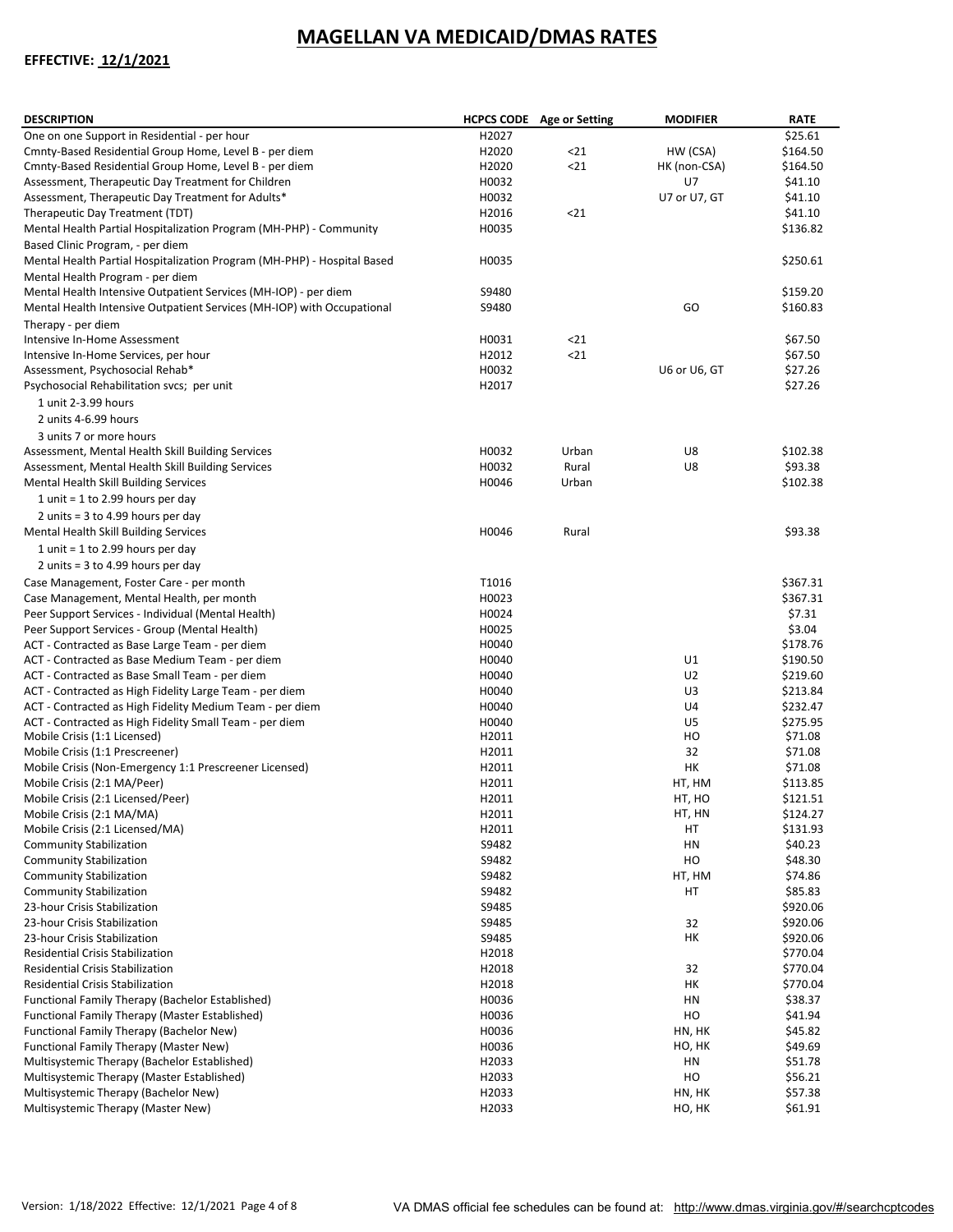| <b>DESCRIPTION</b>                                                      |                | <b>HCPCS CODE</b> Age or Setting | <b>MODIFIER</b> | <b>RATE</b>          |
|-------------------------------------------------------------------------|----------------|----------------------------------|-----------------|----------------------|
| One on one Support in Residential - per hour                            | H2027          |                                  |                 | \$25.61              |
| Cmnty-Based Residential Group Home, Level B - per diem                  | H2020          | 21                               | HW (CSA)        | \$164.50             |
| Cmnty-Based Residential Group Home, Level B - per diem                  | H2020          | $21$                             | HK (non-CSA)    | \$164.50             |
| Assessment, Therapeutic Day Treatment for Children                      | H0032          |                                  | U7              | \$41.10              |
| Assessment, Therapeutic Day Treatment for Adults*                       | H0032          |                                  | U7 or U7, GT    | \$41.10              |
| Therapeutic Day Treatment (TDT)                                         | H2016          | $21$                             |                 | \$41.10              |
| Mental Health Partial Hospitalization Program (MH-PHP) - Community      | H0035          |                                  |                 | \$136.82             |
| Based Clinic Program, - per diem                                        |                |                                  |                 |                      |
| Mental Health Partial Hospitalization Program (MH-PHP) - Hospital Based | H0035          |                                  |                 | \$250.61             |
| Mental Health Program - per diem                                        |                |                                  |                 |                      |
| Mental Health Intensive Outpatient Services (MH-IOP) - per diem         | S9480          |                                  |                 | \$159.20             |
| Mental Health Intensive Outpatient Services (MH-IOP) with Occupational  | S9480          |                                  | GO              | \$160.83             |
| Therapy - per diem                                                      |                |                                  |                 |                      |
| Intensive In-Home Assessment                                            | H0031          | $21$                             |                 | \$67.50              |
| Intensive In-Home Services, per hour                                    | H2012          | $21$                             |                 | \$67.50              |
| Assessment, Psychosocial Rehab*                                         | H0032          |                                  | U6 or U6, GT    | \$27.26              |
| Psychosocial Rehabilitation svcs; per unit                              | H2017          |                                  |                 | \$27.26              |
| 1 unit 2-3.99 hours                                                     |                |                                  |                 |                      |
| 2 units 4-6.99 hours                                                    |                |                                  |                 |                      |
| 3 units 7 or more hours                                                 |                |                                  |                 |                      |
| Assessment, Mental Health Skill Building Services                       | H0032          | Urban                            | U8              | \$102.38             |
| Assessment, Mental Health Skill Building Services                       | H0032          | Rural                            | U8              | \$93.38              |
| Mental Health Skill Building Services                                   | H0046          | Urban                            |                 | \$102.38             |
| 1 unit = 1 to 2.99 hours per day                                        |                |                                  |                 |                      |
| 2 units = $3$ to 4.99 hours per day                                     |                |                                  |                 |                      |
| Mental Health Skill Building Services                                   | H0046          | Rural                            |                 | \$93.38              |
| 1 unit = $1$ to 2.99 hours per day                                      |                |                                  |                 |                      |
| 2 units = $3$ to 4.99 hours per day                                     |                |                                  |                 |                      |
| Case Management, Foster Care - per month                                | T1016          |                                  |                 | \$367.31             |
| Case Management, Mental Health, per month                               | H0023          |                                  |                 | \$367.31             |
| Peer Support Services - Individual (Mental Health)                      | H0024          |                                  |                 | \$7.31               |
| Peer Support Services - Group (Mental Health)                           | H0025          |                                  |                 | \$3.04               |
| ACT - Contracted as Base Large Team - per diem                          | H0040          |                                  |                 | \$178.76             |
| ACT - Contracted as Base Medium Team - per diem                         | H0040          |                                  | U1              | \$190.50             |
| ACT - Contracted as Base Small Team - per diem                          | H0040          |                                  | U <sub>2</sub>  | \$219.60             |
| ACT - Contracted as High Fidelity Large Team - per diem                 | H0040          |                                  | U3              | \$213.84             |
| ACT - Contracted as High Fidelity Medium Team - per diem                | H0040          |                                  | U4              | \$232.47             |
| ACT - Contracted as High Fidelity Small Team - per diem                 | H0040          |                                  | U5              | \$275.95             |
| Mobile Crisis (1:1 Licensed)                                            | H2011          |                                  | HO              | \$71.08              |
| Mobile Crisis (1:1 Prescreener)                                         | H2011          |                                  | 32              | \$71.08              |
| Mobile Crisis (Non-Emergency 1:1 Prescreener Licensed)                  | H2011<br>H2011 |                                  | HK<br>HT, HM    | \$71.08              |
| Mobile Crisis (2:1 MA/Peer)                                             | H2011          |                                  | HT, HO          | \$113.85<br>\$121.51 |
| Mobile Crisis (2:1 Licensed/Peer)                                       |                |                                  | HT, HN          |                      |
| Mobile Crisis (2:1 MA/MA)<br>Mobile Crisis (2:1 Licensed/MA)            | H2011<br>H2011 |                                  | НT              | \$124.27<br>\$131.93 |
| <b>Community Stabilization</b>                                          | S9482          |                                  | HN              | \$40.23              |
| <b>Community Stabilization</b>                                          | S9482          |                                  | HO              | \$48.30              |
| <b>Community Stabilization</b>                                          | S9482          |                                  | HT, HM          | \$74.86              |
| <b>Community Stabilization</b>                                          | S9482          |                                  | HT              | \$85.83              |
| 23-hour Crisis Stabilization                                            | S9485          |                                  |                 | \$920.06             |
| 23-hour Crisis Stabilization                                            | S9485          |                                  | 32              | \$920.06             |
| 23-hour Crisis Stabilization                                            | S9485          |                                  | HК              | \$920.06             |
| Residential Crisis Stabilization                                        | H2018          |                                  |                 | \$770.04             |
| Residential Crisis Stabilization                                        | H2018          |                                  | 32              | \$770.04             |
| Residential Crisis Stabilization                                        | H2018          |                                  | HК              | \$770.04             |
| <b>Functional Family Therapy (Bachelor Established)</b>                 | H0036          |                                  | HN              | \$38.37              |
| <b>Functional Family Therapy (Master Established)</b>                   | H0036          |                                  | HO              | \$41.94              |
| Functional Family Therapy (Bachelor New)                                | H0036          |                                  | HN, HK          | \$45.82              |
| Functional Family Therapy (Master New)                                  | H0036          |                                  | HO, HK          | \$49.69              |
| Multisystemic Therapy (Bachelor Established)                            | H2033          |                                  | HN              | \$51.78              |
| Multisystemic Therapy (Master Established)                              | H2033          |                                  | HO              | \$56.21              |
| Multisystemic Therapy (Bachelor New)                                    | H2033          |                                  | HN, HK          | \$57.38              |
| Multisystemic Therapy (Master New)                                      | H2033          |                                  | HO, HK          | \$61.91              |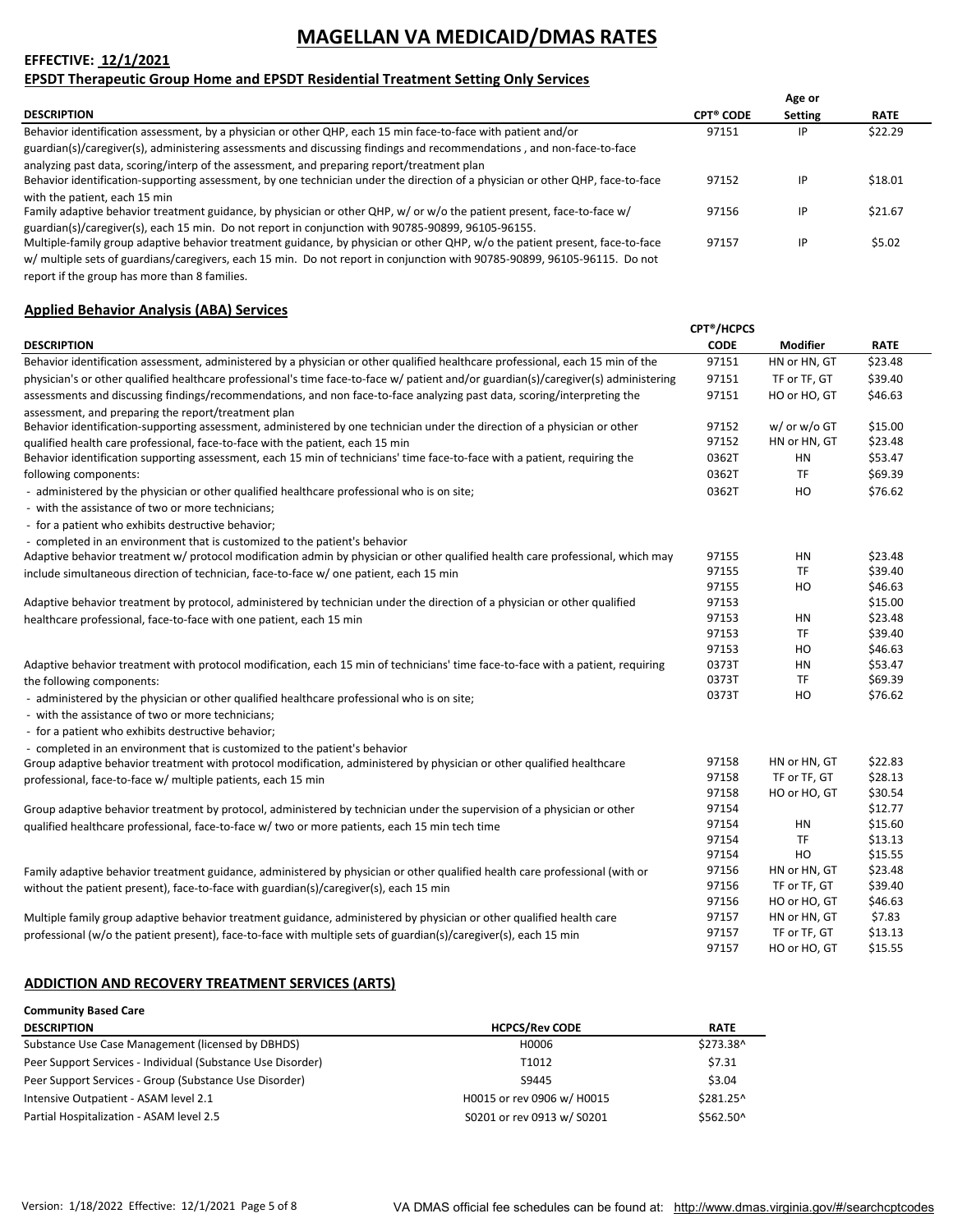### **EFFECTIVE: 12/1/2021**

### **EPSDT Therapeutic Group Home and EPSDT Residential Treatment Setting Only Services**

|                                                                                                                                |                  | Age or  |             |
|--------------------------------------------------------------------------------------------------------------------------------|------------------|---------|-------------|
| <b>DESCRIPTION</b>                                                                                                             | <b>CPT® CODE</b> | Setting | <b>RATE</b> |
| Behavior identification assessment, by a physician or other QHP, each 15 min face-to-face with patient and/or                  | 97151            | IP      | \$22.29     |
| guardian(s)/caregiver(s), administering assessments and discussing findings and recommendations, and non-face-to-face          |                  |         |             |
| analyzing past data, scoring/interp of the assessment, and preparing report/treatment plan                                     |                  |         |             |
| Behavior identification-supporting assessment, by one technician under the direction of a physician or other QHP, face-to-face | 97152            | IP      | \$18.01     |
| with the patient, each 15 min                                                                                                  |                  |         |             |
| Family adaptive behavior treatment guidance, by physician or other QHP, w/ or w/o the patient present, face-to-face w/         | 97156            | IP      | \$21.67     |
| guardian(s)/caregiver(s), each 15 min. Do not report in conjunction with 90785-90899, 96105-96155.                             |                  |         |             |
| Multiple-family group adaptive behavior treatment guidance, by physician or other QHP, w/o the patient present, face-to-face   | 97157            | IP      | \$5.02      |
| w/ multiple sets of guardians/caregivers, each 15 min. Do not report in conjunction with 90785-90899, 96105-96115. Do not      |                  |         |             |

report if the group has more than 8 families.

### **Applied Behavior Analysis (ABA) Services**

|                                                                                                                                     | <b>CPT<sup>®</sup>/HCPCS</b> |              |             |
|-------------------------------------------------------------------------------------------------------------------------------------|------------------------------|--------------|-------------|
| <b>DESCRIPTION</b>                                                                                                                  | <b>CODE</b>                  | Modifier     | <b>RATE</b> |
| Behavior identification assessment, administered by a physician or other qualified healthcare professional, each 15 min of the      | 97151                        | HN or HN, GT | \$23.48     |
| physician's or other qualified healthcare professional's time face-to-face w/ patient and/or guardian(s)/caregiver(s) administering | 97151                        | TF or TF, GT | \$39.40     |
| assessments and discussing findings/recommendations, and non face-to-face analyzing past data, scoring/interpreting the             | 97151                        | HO or HO, GT | \$46.63     |
| assessment, and preparing the report/treatment plan                                                                                 |                              |              |             |
| Behavior identification-supporting assessment, administered by one technician under the direction of a physician or other           | 97152                        | w/ or w/o GT | \$15.00     |
| qualified health care professional, face-to-face with the patient, each 15 min                                                      | 97152                        | HN or HN, GT | \$23.48     |
| Behavior identification supporting assessment, each 15 min of technicians' time face-to-face with a patient, requiring the          | 0362T                        | HN           | \$53.47     |
| following components:                                                                                                               | 0362T                        | <b>TF</b>    | \$69.39     |
| - administered by the physician or other qualified healthcare professional who is on site;                                          | 0362T                        | HO           | \$76.62     |
| - with the assistance of two or more technicians;                                                                                   |                              |              |             |
| - for a patient who exhibits destructive behavior;                                                                                  |                              |              |             |
| - completed in an environment that is customized to the patient's behavior                                                          |                              |              |             |
| Adaptive behavior treatment w/ protocol modification admin by physician or other qualified health care professional, which may      | 97155                        | ΗN           | \$23.48     |
| include simultaneous direction of technician, face-to-face w/ one patient, each 15 min                                              | 97155                        | <b>TF</b>    | \$39.40     |
|                                                                                                                                     | 97155                        | HO           | \$46.63     |
| Adaptive behavior treatment by protocol, administered by technician under the direction of a physician or other qualified           | 97153                        |              | \$15.00     |
| healthcare professional, face-to-face with one patient, each 15 min                                                                 | 97153                        | HN           | \$23.48     |
|                                                                                                                                     | 97153                        | TF           | \$39.40     |
|                                                                                                                                     | 97153                        | HO           | \$46.63     |
| Adaptive behavior treatment with protocol modification, each 15 min of technicians' time face-to-face with a patient, requiring     | 0373T                        | HN           | \$53.47     |
| the following components:                                                                                                           | 0373T                        | TF           | \$69.39     |
| - administered by the physician or other qualified healthcare professional who is on site;                                          | 0373T                        | HO           | \$76.62     |
| - with the assistance of two or more technicians;                                                                                   |                              |              |             |
| - for a patient who exhibits destructive behavior;                                                                                  |                              |              |             |
| - completed in an environment that is customized to the patient's behavior                                                          |                              |              |             |
| Group adaptive behavior treatment with protocol modification, administered by physician or other qualified healthcare               | 97158                        | HN or HN. GT | \$22.83     |
| professional, face-to-face w/ multiple patients, each 15 min                                                                        | 97158                        | TF or TF, GT | \$28.13     |
|                                                                                                                                     | 97158                        | HO or HO, GT | \$30.54     |
| Group adaptive behavior treatment by protocol, administered by technician under the supervision of a physician or other             | 97154                        |              | \$12.77     |
| qualified healthcare professional, face-to-face w/ two or more patients, each 15 min tech time                                      | 97154                        | HN           | \$15.60     |
|                                                                                                                                     | 97154                        | TF           | \$13.13     |
|                                                                                                                                     | 97154                        | HO           | \$15.55     |
| Family adaptive behavior treatment guidance, administered by physician or other qualified health care professional (with or         | 97156                        | HN or HN, GT | \$23.48     |
| without the patient present), face-to-face with guardian(s)/caregiver(s), each 15 min                                               | 97156                        | TF or TF, GT | \$39.40     |
|                                                                                                                                     | 97156                        | HO or HO, GT | \$46.63     |
| Multiple family group adaptive behavior treatment guidance, administered by physician or other qualified health care                | 97157                        | HN or HN, GT | \$7.83      |
| professional (w/o the patient present), face-to-face with multiple sets of guardian(s)/caregiver(s), each 15 min                    | 97157                        | TF or TF, GT | \$13.13     |
|                                                                                                                                     | 97157                        | HO or HO, GT | \$15.55     |

#### **ADDICTION AND RECOVERY TREATMENT SERVICES (ARTS)**

| <b>Community Based Care</b>                                 |                            |             |
|-------------------------------------------------------------|----------------------------|-------------|
| <b>DESCRIPTION</b>                                          | <b>HCPCS/Rev CODE</b>      | <b>RATE</b> |
| Substance Use Case Management (licensed by DBHDS)           | H0006                      | \$273.38^   |
| Peer Support Services - Individual (Substance Use Disorder) | T1012                      | \$7.31      |
| Peer Support Services - Group (Substance Use Disorder)      | S9445                      | \$3.04      |
| Intensive Outpatient - ASAM level 2.1                       | H0015 or rev 0906 w/ H0015 | \$281.25^   |
| Partial Hospitalization - ASAM level 2.5                    | S0201 or rev 0913 w/ S0201 | \$562.50^   |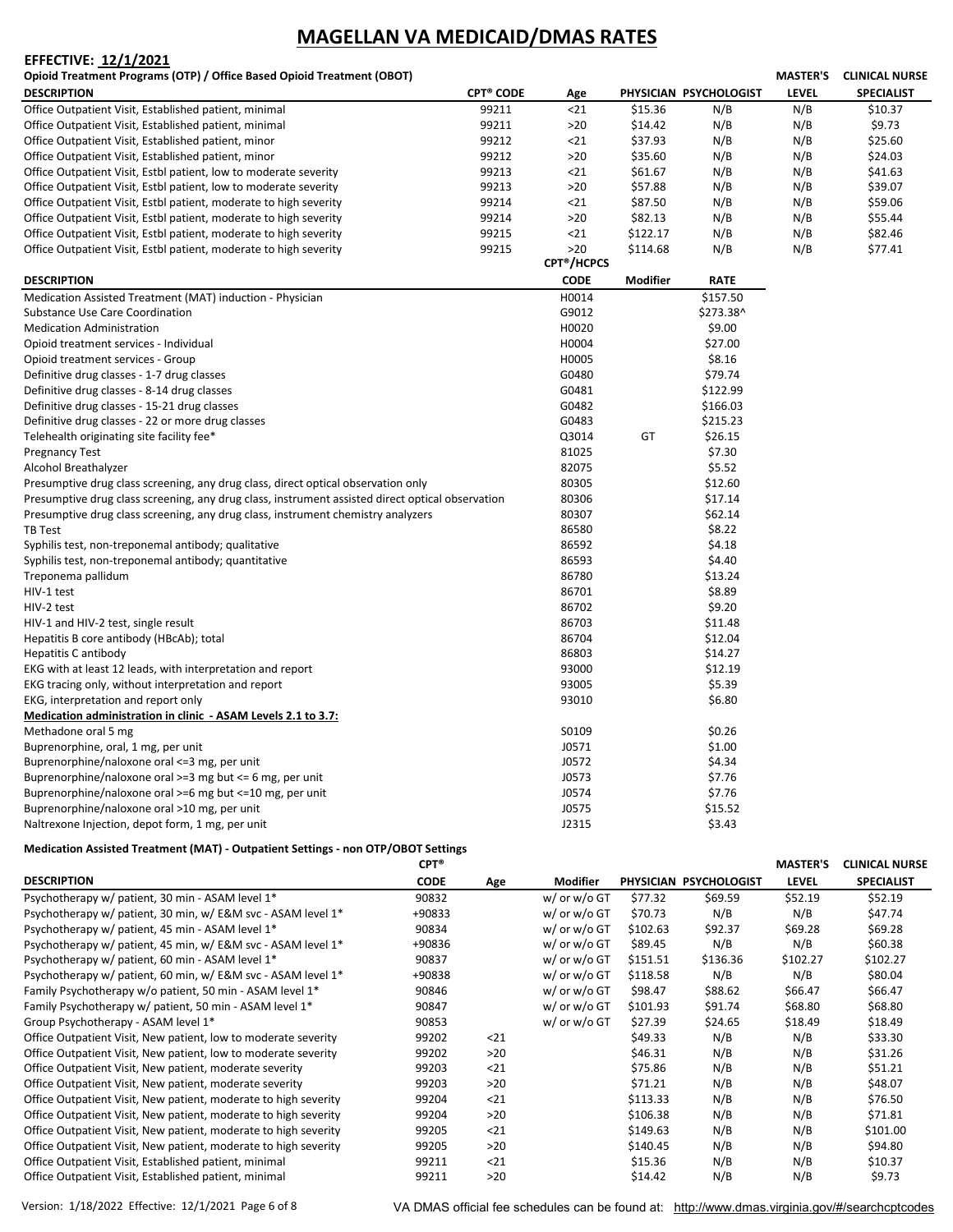#### **EFFECTIVE: 12/1/2021**

**Opioid Treatment Programs (OTP) / Office Based Opioid Treatment (OBOT)**

| Opioid Treatment Programs (OTP) / Office Based Opioid Treatment (OBOT)                           |                             |                              |                 |                        | <b>MASTER'S</b> | <b>CLINICAL NURSE</b> |
|--------------------------------------------------------------------------------------------------|-----------------------------|------------------------------|-----------------|------------------------|-----------------|-----------------------|
| DESCRIPTION                                                                                      | <b>CPT<sup>®</sup> CODE</b> | Age                          |                 | PHYSICIAN PSYCHOLOGIST | <b>LEVEL</b>    | <b>SPECIALIST</b>     |
| Office Outpatient Visit, Established patient, minimal                                            | 99211                       | $21$                         | \$15.36         | N/B                    | N/B             | \$10.37               |
| Office Outpatient Visit, Established patient, minimal                                            | 99211                       | >20                          | \$14.42         | N/B                    | N/B             | \$9.73                |
| Office Outpatient Visit, Established patient, minor                                              | 99212                       | $21$                         | \$37.93         | N/B                    | N/B             | \$25.60               |
| Office Outpatient Visit, Established patient, minor                                              | 99212                       | $>20$                        | \$35.60         | N/B                    | N/B             | \$24.03               |
| Office Outpatient Visit, Estbl patient, low to moderate severity                                 | 99213                       | $21$                         | \$61.67         | N/B                    | N/B             | \$41.63               |
| Office Outpatient Visit, Estbl patient, low to moderate severity                                 | 99213                       | $>20$                        | \$57.88         | N/B                    | N/B             | \$39.07               |
| Office Outpatient Visit, Estbl patient, moderate to high severity                                | 99214                       | $21$                         | \$87.50         | N/B                    | N/B             | \$59.06               |
| Office Outpatient Visit, Estbl patient, moderate to high severity                                | 99214                       | $>20$                        | \$82.13         | N/B                    | N/B             | \$55.44               |
| Office Outpatient Visit, Estbl patient, moderate to high severity                                | 99215                       | $21$                         | \$122.17        | N/B                    | N/B             | \$82.46               |
| Office Outpatient Visit, Estbl patient, moderate to high severity                                | 99215                       | >20                          | \$114.68        | N/B                    | N/B             | \$77.41               |
|                                                                                                  |                             | <b>CPT<sup>®</sup>/HCPCS</b> |                 |                        |                 |                       |
| DESCRIPTION                                                                                      |                             | <b>CODE</b>                  | <b>Modifier</b> | <b>RATE</b>            |                 |                       |
| Medication Assisted Treatment (MAT) induction - Physician                                        |                             | H0014                        |                 | \$157.50               |                 |                       |
| <b>Substance Use Care Coordination</b>                                                           |                             | G9012                        |                 | \$273.38^              |                 |                       |
| <b>Medication Administration</b>                                                                 |                             | H0020                        |                 | \$9.00                 |                 |                       |
| Opioid treatment services - Individual                                                           |                             | H0004                        |                 | \$27.00                |                 |                       |
| Opioid treatment services - Group                                                                |                             | H0005                        |                 | \$8.16                 |                 |                       |
| Definitive drug classes - 1-7 drug classes                                                       |                             | G0480                        |                 | \$79.74                |                 |                       |
| Definitive drug classes - 8-14 drug classes                                                      |                             | G0481                        |                 | \$122.99               |                 |                       |
| Definitive drug classes - 15-21 drug classes                                                     |                             | G0482                        |                 | \$166.03               |                 |                       |
| Definitive drug classes - 22 or more drug classes                                                |                             | G0483                        |                 | \$215.23               |                 |                       |
| Telehealth originating site facility fee*                                                        |                             | Q3014                        | GT              | \$26.15                |                 |                       |
| Pregnancy Test                                                                                   |                             | 81025                        |                 | \$7.30                 |                 |                       |
| Alcohol Breathalyzer                                                                             |                             | 82075                        |                 | \$5.52                 |                 |                       |
| Presumptive drug class screening, any drug class, direct optical observation only                |                             | 80305                        |                 | \$12.60                |                 |                       |
| Presumptive drug class screening, any drug class, instrument assisted direct optical observation |                             | 80306                        |                 | \$17.14                |                 |                       |
| Presumptive drug class screening, any drug class, instrument chemistry analyzers                 |                             | 80307                        |                 | \$62.14                |                 |                       |
| TB Test                                                                                          |                             | 86580                        |                 | \$8.22                 |                 |                       |
| Syphilis test, non-treponemal antibody; qualitative                                              |                             | 86592                        |                 | \$4.18                 |                 |                       |
| Syphilis test, non-treponemal antibody; quantitative                                             |                             | 86593                        |                 | \$4.40                 |                 |                       |
| Treponema pallidum                                                                               |                             | 86780                        |                 | \$13.24                |                 |                       |
| HIV-1 test                                                                                       |                             | 86701                        |                 | \$8.89                 |                 |                       |
| HIV-2 test                                                                                       |                             | 86702                        |                 | \$9.20                 |                 |                       |
| HIV-1 and HIV-2 test, single result                                                              |                             | 86703                        |                 | \$11.48                |                 |                       |
| Hepatitis B core antibody (HBcAb); total                                                         |                             | 86704                        |                 | \$12.04                |                 |                       |
| Hepatitis C antibody                                                                             |                             | 86803                        |                 | \$14.27                |                 |                       |
| EKG with at least 12 leads, with interpretation and report                                       |                             | 93000                        |                 | \$12.19                |                 |                       |
| EKG tracing only, without interpretation and report                                              |                             | 93005                        |                 | \$5.39                 |                 |                       |
| EKG, interpretation and report only                                                              |                             | 93010                        |                 | \$6.80                 |                 |                       |
| Medication administration in clinic - ASAM Levels 2.1 to 3.7:                                    |                             |                              |                 |                        |                 |                       |
| Methadone oral 5 mg                                                                              |                             | S0109                        |                 | \$0.26                 |                 |                       |
| Buprenorphine, oral, 1 mg, per unit                                                              |                             | J0571                        |                 | \$1.00                 |                 |                       |
| Buprenorphine/naloxone oral <=3 mg, per unit                                                     |                             | J0572                        |                 | \$4.34                 |                 |                       |
| Buprenorphine/naloxone oral >=3 mg but <= 6 mg, per unit                                         |                             | J0573                        |                 | \$7.76                 |                 |                       |
| Buprenorphine/naloxone oral >=6 mg but <=10 mg, per unit                                         |                             | J0574                        |                 | \$7.76                 |                 |                       |
| Buprenorphine/naloxone oral >10 mg, per unit                                                     |                             | J0575                        |                 | \$15.52                |                 |                       |
| Naltrexone Injection, depot form, 1 mg, per unit                                                 |                             | J2315                        |                 | \$3.43                 |                 |                       |

#### **Medication Assisted Treatment (MAT) ‐ Outpatient Settings ‐ non OTP/OBOT Settings**

|                                                                 | $CPT^*$     |       |                   |          |                        | <b>MASTER'S</b> | <b>CLINICAL NURSE</b> |
|-----------------------------------------------------------------|-------------|-------|-------------------|----------|------------------------|-----------------|-----------------------|
| <b>DESCRIPTION</b>                                              | <b>CODE</b> | Age   | Modifier          |          | PHYSICIAN PSYCHOLOGIST | <b>LEVEL</b>    | <b>SPECIALIST</b>     |
| Psychotherapy w/ patient, 30 min - ASAM level 1*                | 90832       |       | w/ or w/o GT      | \$77.32  | \$69.59                | \$52.19         | \$52.19               |
| Psychotherapy w/ patient, 30 min, w/ E&M svc - ASAM level 1*    | +90833      |       | $w/$ or $w/$ o GT | \$70.73  | N/B                    | N/B             | \$47.74               |
| Psychotherapy w/ patient, 45 min - ASAM level 1 <sup>*</sup>    | 90834       |       | w/ or w/o GT      | \$102.63 | \$92.37                | \$69.28         | \$69.28               |
| Psychotherapy w/ patient, 45 min, w/ E&M svc - ASAM level 1*    | +90836      |       | w/ or w/o GT      | \$89.45  | N/B                    | N/B             | \$60.38               |
| Psychotherapy w/ patient, 60 min - ASAM level 1 <sup>*</sup>    | 90837       |       | w/ or w/o GT      | \$151.51 | \$136.36               | \$102.27        | \$102.27              |
| Psychotherapy w/ patient, 60 min, w/ E&M svc - ASAM level 1*    | +90838      |       | w/ or w/o GT      | \$118.58 | N/B                    | N/B             | \$80.04               |
| Family Psychotherapy w/o patient, 50 min - ASAM level 1*        | 90846       |       | w/ or w/o GT      | \$98.47  | \$88.62                | \$66.47         | \$66.47               |
| Family Psychotherapy w/ patient, 50 min - ASAM level 1*         | 90847       |       | w/ or w/o GT      | \$101.93 | \$91.74                | \$68.80         | \$68.80               |
| Group Psychotherapy - ASAM level 1*                             | 90853       |       | w/ or w/o GT      | \$27.39  | \$24.65                | \$18.49         | \$18.49               |
| Office Outpatient Visit, New patient, low to moderate severity  | 99202       | $21$  |                   | \$49.33  | N/B                    | N/B             | \$33.30               |
| Office Outpatient Visit, New patient, low to moderate severity  | 99202       | $>20$ |                   | \$46.31  | N/B                    | N/B             | \$31.26               |
| Office Outpatient Visit, New patient, moderate severity         | 99203       | $21$  |                   | \$75.86  | N/B                    | N/B             | \$51.21               |
| Office Outpatient Visit, New patient, moderate severity         | 99203       | $>20$ |                   | \$71.21  | N/B                    | N/B             | \$48.07               |
| Office Outpatient Visit, New patient, moderate to high severity | 99204       | $21$  |                   | \$113.33 | N/B                    | N/B             | \$76.50               |
| Office Outpatient Visit, New patient, moderate to high severity | 99204       | >20   |                   | \$106.38 | N/B                    | N/B             | \$71.81               |
| Office Outpatient Visit, New patient, moderate to high severity | 99205       | $21$  |                   | \$149.63 | N/B                    | N/B             | \$101.00              |
| Office Outpatient Visit, New patient, moderate to high severity | 99205       | >20   |                   | \$140.45 | N/B                    | N/B             | \$94.80               |
| Office Outpatient Visit, Established patient, minimal           | 99211       | $21$  |                   | \$15.36  | N/B                    | N/B             | \$10.37               |
| Office Outpatient Visit, Established patient, minimal           | 99211       | $>20$ |                   | \$14.42  | N/B                    | N/B             | \$9.73                |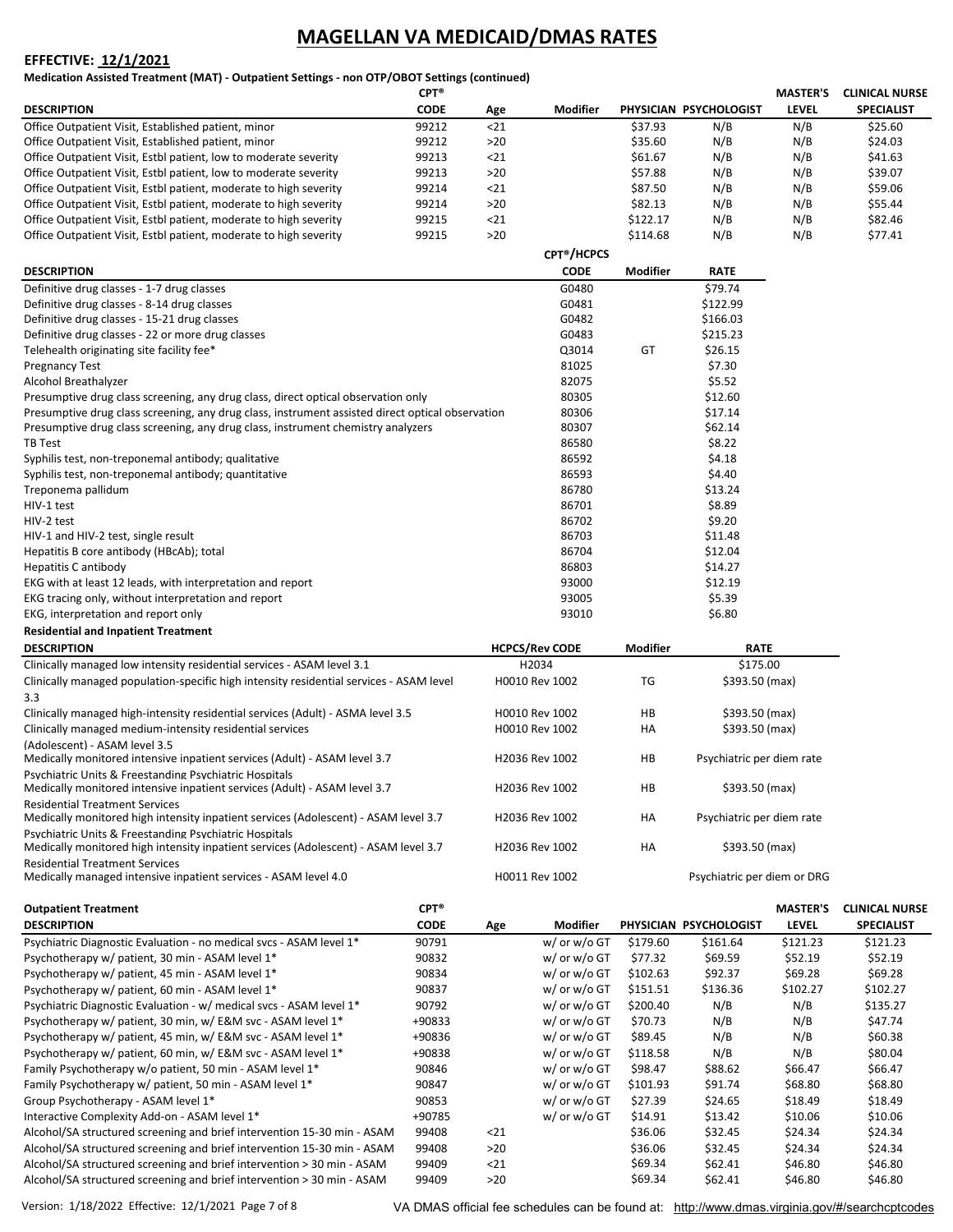#### **EFFECTIVE: 12/1/2021**

**Medication Assisted Treatment (MAT) ‐ Outpatient Settings ‐ non OTP/OBOT Settings (continued)**

|                                                                   | $CPT^*$     |       |                              |          |                        | <b>MASTER'S</b> | <b>CLINICAL NURSE</b> |
|-------------------------------------------------------------------|-------------|-------|------------------------------|----------|------------------------|-----------------|-----------------------|
| <b>DESCRIPTION</b>                                                | <b>CODE</b> | Age   | <b>Modifier</b>              |          | PHYSICIAN PSYCHOLOGIST | LEVEL           | <b>SPECIALIST</b>     |
| Office Outpatient Visit, Established patient, minor               | 99212       | 21    |                              | \$37.93  | N/B                    | N/B             | \$25.60               |
| Office Outpatient Visit, Established patient, minor               | 99212       | $>20$ |                              | \$35.60  | N/B                    | N/B             | \$24.03               |
| Office Outpatient Visit, Estbl patient, low to moderate severity  | 99213       | $21$  |                              | \$61.67  | N/B                    | N/B             | \$41.63               |
| Office Outpatient Visit, Estbl patient, low to moderate severity  | 99213       | $>20$ |                              | \$57.88  | N/B                    | N/B             | \$39.07               |
| Office Outpatient Visit, Estbl patient, moderate to high severity | 99214       | 21    |                              | \$87.50  | N/B                    | N/B             | \$59.06               |
| Office Outpatient Visit, Estbl patient, moderate to high severity | 99214       | $>20$ |                              | \$82.13  | N/B                    | N/B             | \$55.44               |
| Office Outpatient Visit, Estbl patient, moderate to high severity | 99215       | 21    |                              | \$122.17 | N/B                    | N/B             | \$82.46               |
| Office Outpatient Visit, Estbl patient, moderate to high severity | 99215       | $>20$ |                              | \$114.68 | N/B                    | N/B             | \$77.41               |
|                                                                   |             |       | <b>CPT<sup>®</sup>/HCPCS</b> |          |                        |                 |                       |

| <b>DESCRIPTION</b>                                                                               | <b>CODE</b> | <b>Modifier</b> | <b>RATE</b> |
|--------------------------------------------------------------------------------------------------|-------------|-----------------|-------------|
| Definitive drug classes - 1-7 drug classes                                                       | G0480       |                 | \$79.74     |
| Definitive drug classes - 8-14 drug classes                                                      | G0481       |                 | \$122.99    |
| Definitive drug classes - 15-21 drug classes                                                     | G0482       |                 | \$166.03    |
| Definitive drug classes - 22 or more drug classes                                                | G0483       |                 | \$215.23    |
| Telehealth originating site facility fee*                                                        | Q3014       | GT              | \$26.15     |
| <b>Pregnancy Test</b>                                                                            | 81025       |                 | \$7.30      |
| Alcohol Breathalyzer                                                                             | 82075       |                 | \$5.52      |
| Presumptive drug class screening, any drug class, direct optical observation only                | 80305       |                 | \$12.60     |
| Presumptive drug class screening, any drug class, instrument assisted direct optical observation | 80306       |                 | \$17.14     |
| Presumptive drug class screening, any drug class, instrument chemistry analyzers                 | 80307       |                 | \$62.14     |
| TB Test                                                                                          | 86580       |                 | \$8.22      |
| Syphilis test, non-treponemal antibody; qualitative                                              | 86592       |                 | \$4.18      |
| Syphilis test, non-treponemal antibody; quantitative                                             | 86593       |                 | \$4.40      |
| Treponema pallidum                                                                               | 86780       |                 | \$13.24     |
| HIV-1 test                                                                                       | 86701       |                 | \$8.89      |
| HIV-2 test                                                                                       | 86702       |                 | \$9.20      |
| HIV-1 and HIV-2 test, single result                                                              | 86703       |                 | \$11.48     |
| Hepatitis B core antibody (HBcAb); total                                                         | 86704       |                 | \$12.04     |
| Hepatitis C antibody                                                                             | 86803       |                 | \$14.27     |
| EKG with at least 12 leads, with interpretation and report                                       | 93000       |                 | \$12.19     |
| EKG tracing only, without interpretation and report                                              | 93005       |                 | \$5.39      |
| EKG, interpretation and report only                                                              | 93010       |                 | \$6.80      |

| <b>Residential and Inpatient Treatment</b>                                                                                                    |                       |                 |                             |
|-----------------------------------------------------------------------------------------------------------------------------------------------|-----------------------|-----------------|-----------------------------|
| <b>DESCRIPTION</b>                                                                                                                            | <b>HCPCS/Rev CODE</b> | <b>Modifier</b> | <b>RATE</b>                 |
| Clinically managed low intensity residential services - ASAM level 3.1                                                                        | H2034                 |                 | \$175.00                    |
| Clinically managed population-specific high intensity residential services - ASAM level                                                       | H0010 Rev 1002        | TG              | \$393.50 (max)              |
| 3.3                                                                                                                                           |                       |                 |                             |
| Clinically managed high-intensity residential services (Adult) - ASMA level 3.5                                                               | H0010 Rev 1002        | HB              | \$393.50 (max)              |
| Clinically managed medium-intensity residential services                                                                                      | H0010 Rev 1002        | HA              | \$393.50 (max)              |
| (Adolescent) - ASAM level 3.5<br>Medically monitored intensive inpatient services (Adult) - ASAM level 3.7                                    | H2036 Rev 1002        | HB              | Psychiatric per diem rate   |
| Psychiatric Units & Ereestanding Psychiatric Hospitals<br>Medically monitored intensive inpatient services (Adult) - ASAM level 3.7           | H2036 Rev 1002        | HB              | \$393.50 (max)              |
| <b>Residential Treatment Services</b><br>Medically monitored high intensity inpatient services (Adolescent) - ASAM level 3.7                  | H2036 Rev 1002        | HA              | Psychiatric per diem rate   |
| Psychiatric Units & Freestanding Psychiatric Hospitals<br>Medically monitored high intensity inpatient services (Adolescent) - ASAM level 3.7 | H2036 Rev 1002        | HA              | \$393.50 (max)              |
| <b>Residential Treatment Services</b><br>Medically managed intensive inpatient services - ASAM level 4.0                                      | H0011 Rev 1002        |                 | Psychiatric per diem or DRG |

| <b>Outpatient Treatment</b>                                              | $CPT^*$     |       |              |          |                        | <b>MASTER'S</b> | <b>CLINICAL NURSE</b> |
|--------------------------------------------------------------------------|-------------|-------|--------------|----------|------------------------|-----------------|-----------------------|
| <b>DESCRIPTION</b>                                                       | <b>CODE</b> | Age   | Modifier     |          | PHYSICIAN PSYCHOLOGIST | <b>LEVEL</b>    | <b>SPECIALIST</b>     |
| Psychiatric Diagnostic Evaluation - no medical svcs - ASAM level 1*      | 90791       |       | w/ or w/o GT | \$179.60 | \$161.64               | \$121.23        | \$121.23              |
| Psychotherapy w/ patient, 30 min - ASAM level 1*                         | 90832       |       | w/ or w/o GT | \$77.32  | \$69.59                | \$52.19         | \$52.19               |
| Psychotherapy w/ patient, 45 min - ASAM level 1*                         | 90834       |       | w/ or w/o GT | \$102.63 | \$92.37                | \$69.28         | \$69.28               |
| Psychotherapy w/ patient, 60 min - ASAM level 1*                         | 90837       |       | w/ or w/o GT | \$151.51 | \$136.36               | \$102.27        | \$102.27              |
| Psychiatric Diagnostic Evaluation - w/ medical svcs - ASAM level 1*      | 90792       |       | w/ or w/o GT | \$200.40 | N/B                    | N/B             | \$135.27              |
| Psychotherapy w/ patient, 30 min, w/ E&M svc - ASAM level 1*             | +90833      |       | w/ or w/o GT | \$70.73  | N/B                    | N/B             | \$47.74               |
| Psychotherapy w/ patient, 45 min, w/ E&M svc - ASAM level 1 <sup>*</sup> | +90836      |       | w/ or w/o GT | \$89.45  | N/B                    | N/B             | \$60.38               |
| Psychotherapy w/ patient, 60 min, w/ E&M svc - ASAM level 1*             | +90838      |       | w/ or w/o GT | \$118.58 | N/B                    | N/B             | \$80.04               |
| Family Psychotherapy w/o patient, 50 min - ASAM level 1 <sup>*</sup>     | 90846       |       | w/ or w/o GT | \$98.47  | \$88.62                | \$66.47         | \$66.47               |
| Family Psychotherapy w/ patient, 50 min - ASAM level 1 <sup>*</sup>      | 90847       |       | w/ or w/o GT | \$101.93 | \$91.74                | \$68.80         | \$68.80               |
| Group Psychotherapy - ASAM level 1*                                      | 90853       |       | w/ or w/o GT | \$27.39  | \$24.65                | \$18.49         | \$18.49               |
| Interactive Complexity Add-on - ASAM level 1*                            | +90785      |       | w/ or w/o GT | \$14.91  | \$13.42                | \$10.06         | \$10.06               |
| Alcohol/SA structured screening and brief intervention 15-30 min - ASAM  | 99408       | 21    |              | \$36.06  | \$32.45                | \$24.34         | \$24.34               |
| Alcohol/SA structured screening and brief intervention 15-30 min - ASAM  | 99408       | $>20$ |              | \$36.06  | \$32.45                | \$24.34         | \$24.34               |
| Alcohol/SA structured screening and brief intervention > 30 min - ASAM   | 99409       | $21$  |              | \$69.34  | \$62.41                | \$46.80         | \$46.80               |
| Alcohol/SA structured screening and brief intervention > 30 min - ASAM   | 99409       | $>20$ |              | \$69.34  | \$62.41                | \$46.80         | \$46.80               |